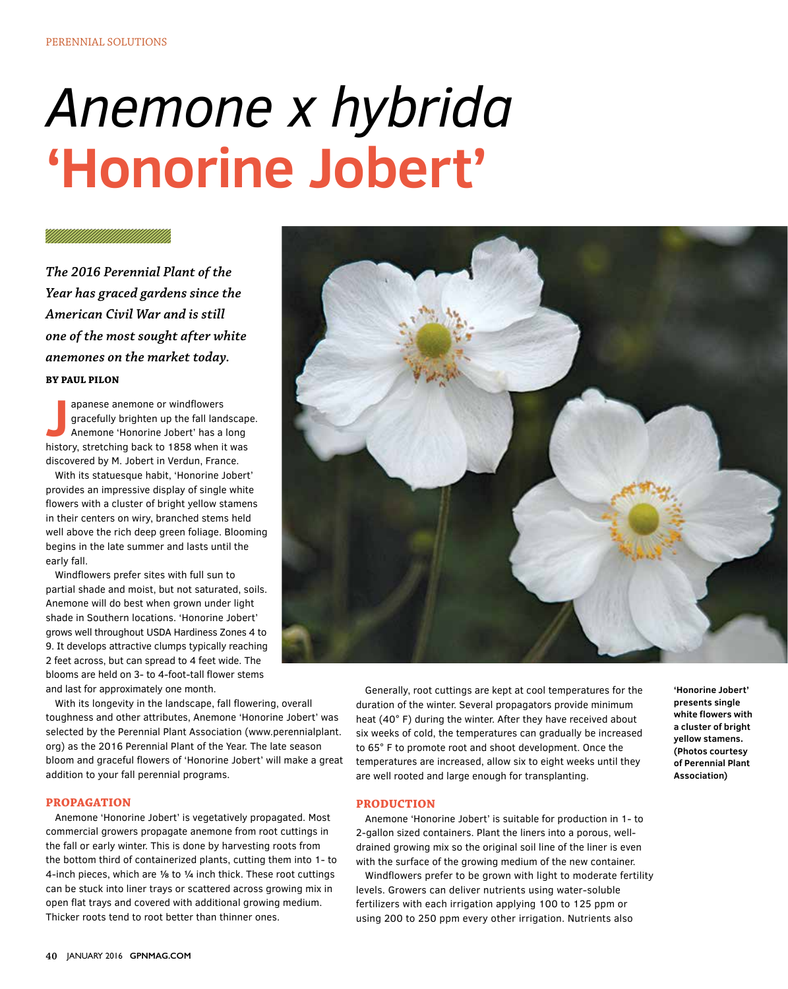# *Anemone x hybrida* **'Honorine Jobert'**

### **A MANAMANA A SHEARAN**

*The 2016 Perennial Plant of the Year has graced gardens since the American Civil War and is still one of the most sought after white anemones on the market today.* **BY PAUL PILON**

apanese anemone or windflowers<br>
gracefully brighten up the fall landscap<br>
Anemone 'Honorine Jobert' has a long<br>
history, stretching back to 1858 when it was apanese anemone or windflowers gracefully brighten up the fall landscape. Anemone 'Honorine Jobert' has a long discovered by M. Jobert in Verdun, France.

With its statuesque habit, 'Honorine Jobert' provides an impressive display of single white flowers with a cluster of bright yellow stamens in their centers on wiry, branched stems held well above the rich deep green foliage. Blooming begins in the late summer and lasts until the early fall.

Windflowers prefer sites with full sun to partial shade and moist, but not saturated, soils. Anemone will do best when grown under light shade in Southern locations. 'Honorine Jobert' grows well throughout USDA Hardiness Zones 4 to 9. It develops attractive clumps typically reaching 2 feet across, but can spread to 4 feet wide. The blooms are held on 3- to 4-foot-tall flower stems and last for approximately one month.

With its longevity in the landscape, fall flowering, overall toughness and other attributes, Anemone 'Honorine Jobert' was selected by the Perennial Plant Association (www.perennialplant. org) as the 2016 Perennial Plant of the Year. The late season bloom and graceful flowers of 'Honorine Jobert' will make a great addition to your fall perennial programs.

#### **PROPAGATION**

Anemone 'Honorine Jobert' is vegetatively propagated. Most commercial growers propagate anemone from root cuttings in the fall or early winter. This is done by harvesting roots from the bottom third of containerized plants, cutting them into 1- to 4-inch pieces, which are ⅛ to ¼ inch thick. These root cuttings can be stuck into liner trays or scattered across growing mix in open flat trays and covered with additional growing medium. Thicker roots tend to root better than thinner ones.



# are well rooted and large enough for transplanting. **PRODUCTION**  Anemone 'Honorine Jobert' is suitable for production in 1- to

2-gallon sized containers. Plant the liners into a porous, welldrained growing mix so the original soil line of the liner is even with the surface of the growing medium of the new container.

Windflowers prefer to be grown with light to moderate fertility levels. Growers can deliver nutrients using water-soluble fertilizers with each irrigation applying 100 to 125 ppm or using 200 to 250 ppm every other irrigation. Nutrients also

**'Honorine Jobert' presents single white flowers with a cluster of bright yellow stamens. (Photos courtesy of Perennial Plant Association)**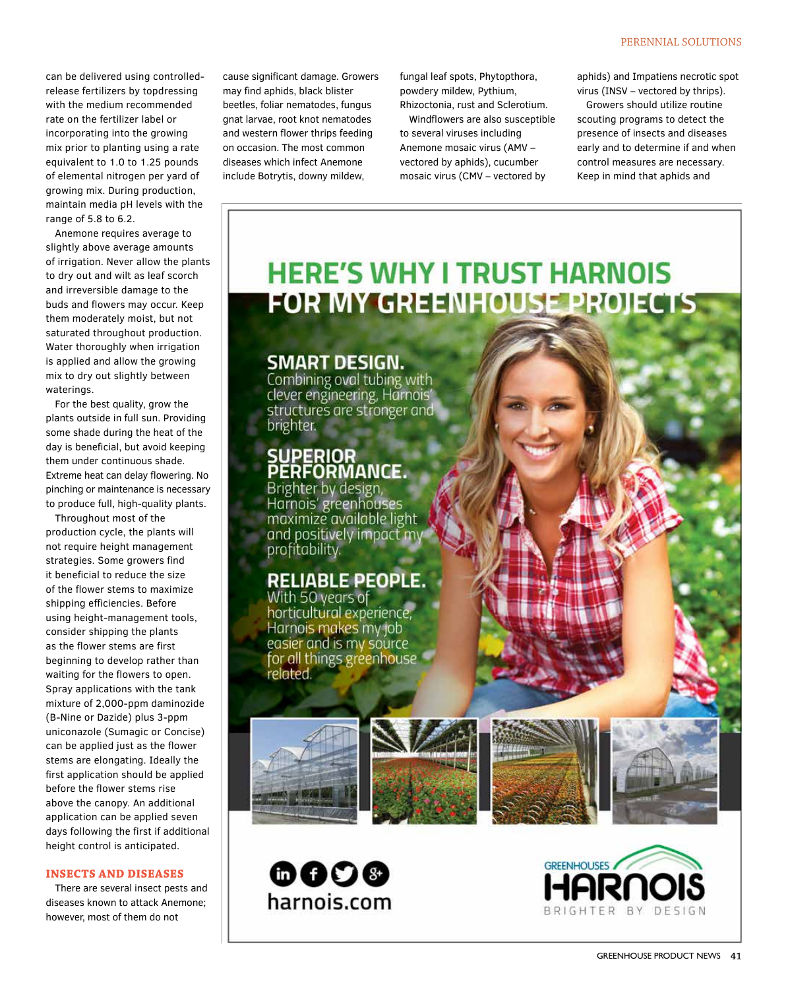can be delivered using controlledrelease fertilizers by topdressing with the medium recommended rate on the fertilizer label or incorporating into the growing mix prior to planting using a rate equivalent to 1.0 to 1.25 pounds of elemental nitrogen per yard of growing mix. During production, maintain media pH levels with the range of 5.8 to 6.2.

Anemone requires average to slightly above average amounts of irrigation. Never allow the plants to dry out and wilt as leaf scorch and irreversible damage to the buds and flowers may occur. Keep them moderately moist, but not saturated throughout production. Water thoroughly when irrigation is applied and allow the growing mix to dry out slightly between waterings.

For the best quality, grow the plants outside in full sun. Providing some shade during the heat of the day is beneficial, but avoid keeping them under continuous shade. Extreme heat can delay flowering. No pinching or maintenance is necessary to produce full, high-quality plants.

Throughout most of the production cycle, the plants will not require height management strategies. Some growers find it beneficial to reduce the size of the flower stems to maximize shipping efficiencies. Before using height-management tools, consider shipping the plants as the flower stems are first beginning to develop rather than waiting for the flowers to open. Spray applications with the tank mixture of 2,000-ppm daminozide (B-Nine or Dazide) plus 3-ppm uniconazole (Sumagic or Concise) can be applied just as the flower stems are elongating. Ideally the first application should be applied before the flower stems rise above the canopy. An additional application can be applied seven days following the first if additional height control is anticipated.

## **INSECTS AND DISEASES**

There are several insect pests and diseases known to attack Anemone; however, most of them do not

cause significant damage. Growers may find aphids, black blister beetles, foliar nematodes, fungus gnat larvae, root knot nematodes and western flower thrips feeding on occasion. The most common diseases which infect Anemone include Botrytis, downy mildew,

fungal leaf spots, Phytopthora, powdery mildew, Pythium, Rhizoctonia, rust and Sclerotium.

Windflowers are also susceptible to several viruses including Anemone mosaic virus (AMV – vectored by aphids), cucumber mosaic virus (CMV – vectored by

aphids) and Impatiens necrotic spot virus (INSV – vectored by thrips).

Growers should utilize routine scouting programs to detect the presence of insects and diseases early and to determine if and when control measures are necessary. Keep in mind that aphids and

# **HERE'S WHY I TRUST HARNOIS** FOR MY GREENHOUSE PROJECTS

## **SMART DESIGN.**

Combining oval tubing with clever engineering, Harnois' structures are stronger and brighter.

# SUPERIOR<br>PERFORMANCE.

Brighter by design, Harnois' greenhouses maximize available light and positively impact my profitability.

# **RELIABLE PEOPLE.**

With 50 years of horticultural experience, Harnois makes my job easier and is my sóúrce<br>for all things greenhouse related.











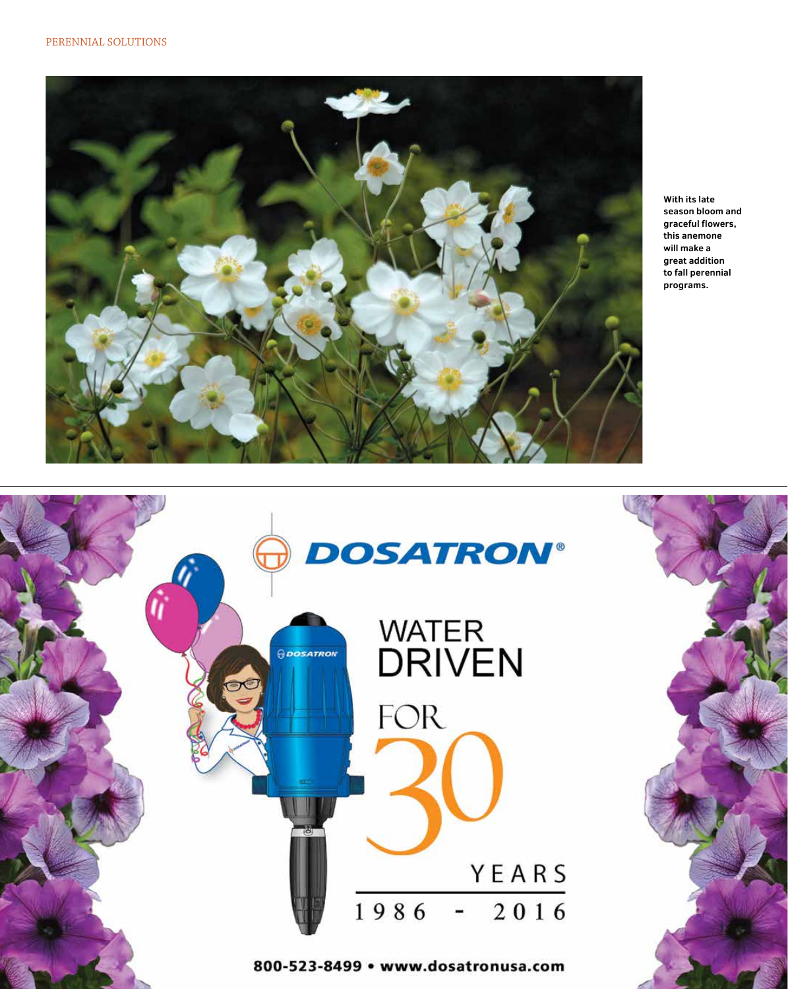

**With its late season bloom and graceful flowers, this anemone will make a great addition to fall perennial programs.**